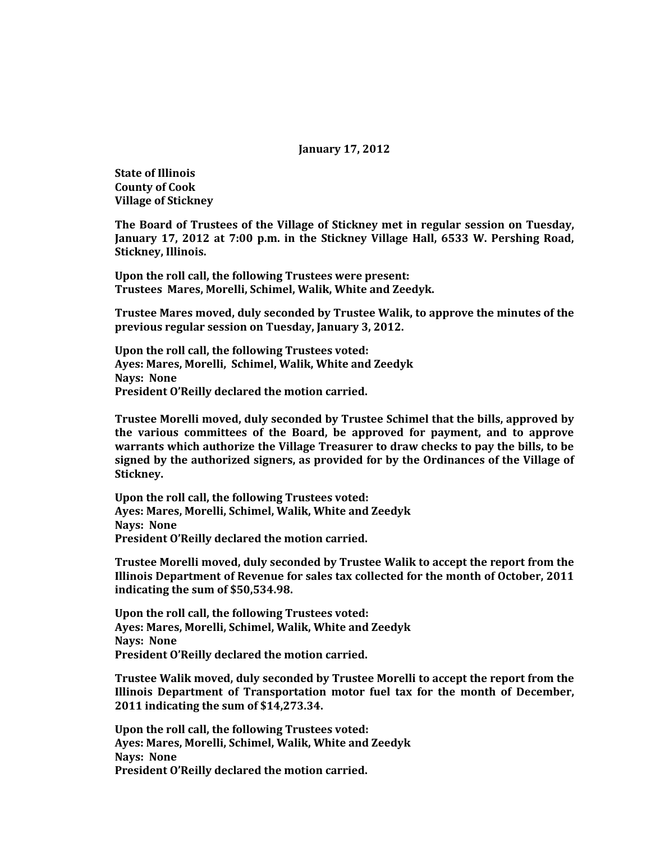## **January 17, 2012**

**State of Illinois County of Cook Village of Stickney**

**The Board of Trustees of the Village of Stickney met in regular session on Tuesday, January 17, 2012 at 7:00 p.m. in the Stickney Village Hall, 6533 W. Pershing Road, Stickney, Illinois.**

**Upon the roll call, the following Trustees were present: Trustees Mares, Morelli, Schimel, Walik, White and Zeedyk.** 

**Trustee Mares moved, duly seconded by Trustee Walik, to approve the minutes of the previous regular session on Tuesday, January 3, 2012.**

**Upon the roll call, the following Trustees voted: Ayes: Mares, Morelli, Schimel, Walik, White and Zeedyk Nays: None President O'Reilly declared the motion carried.**

**Trustee Morelli moved, duly seconded by Trustee Schimel that the bills, approved by the various committees of the Board, be approved for payment, and to approve warrants which authorize the Village Treasurer to draw checks to pay the bills, to be signed by the authorized signers, as provided for by the Ordinances of the Village of Stickney.**

**Upon the roll call, the following Trustees voted: Ayes: Mares, Morelli, Schimel, Walik, White and Zeedyk Nays: None President O'Reilly declared the motion carried.**

**Trustee Morelli moved, duly seconded by Trustee Walik to accept the report from the Illinois Department of Revenue for sales tax collected for the month of October, 2011 indicating the sum of \$50,534.98.**

**Upon the roll call, the following Trustees voted: Ayes: Mares, Morelli, Schimel, Walik, White and Zeedyk Nays: None President O'Reilly declared the motion carried.**

**Trustee Walik moved, duly seconded by Trustee Morelli to accept the report from the Illinois Department of Transportation motor fuel tax for the month of December, 2011 indicating the sum of \$14,273.34.**

**Upon the roll call, the following Trustees voted: Ayes: Mares, Morelli, Schimel, Walik, White and Zeedyk Nays: None President O'Reilly declared the motion carried.**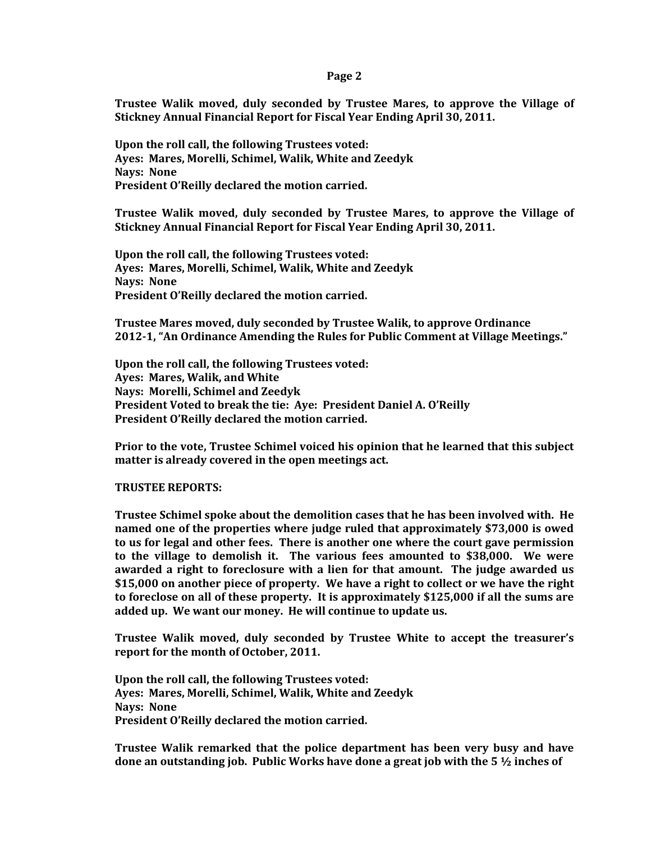## **Page 2**

**Trustee Walik moved, duly seconded by Trustee Mares, to approve the Village of Stickney Annual Financial Report for Fiscal Year Ending April 30, 2011.**

**Upon the roll call, the following Trustees voted: Ayes: Mares, Morelli, Schimel, Walik, White and Zeedyk Nays: None President O'Reilly declared the motion carried.**

**Trustee Walik moved, duly seconded by Trustee Mares, to approve the Village of Stickney Annual Financial Report for Fiscal Year Ending April 30, 2011.**

**Upon the roll call, the following Trustees voted: Ayes: Mares, Morelli, Schimel, Walik, White and Zeedyk Nays: None President O'Reilly declared the motion carried.**

**Trustee Mares moved, duly seconded by Trustee Walik, to approve Ordinance 2012-1, "An Ordinance Amending the Rules for Public Comment at Village Meetings."**

**Upon the roll call, the following Trustees voted: Ayes: Mares, Walik, and White Nays: Morelli, Schimel and Zeedyk President Voted to break the tie: Aye: President Daniel A. O'Reilly President O'Reilly declared the motion carried.**

**Prior to the vote, Trustee Schimel voiced his opinion that he learned that this subject matter is already covered in the open meetings act.**

## **TRUSTEE REPORTS:**

**Trustee Schimel spoke about the demolition cases that he has been involved with. He named one of the properties where judge ruled that approximately \$73,000 is owed to us for legal and other fees. There is another one where the court gave permission to the village to demolish it. The various fees amounted to \$38,000. We were awarded a right to foreclosure with a lien for that amount. The judge awarded us \$15,000 on another piece of property. We have a right to collect or we have the right to foreclose on all of these property. It is approximately \$125,000 if all the sums are added up. We want our money. He will continue to update us.**

**Trustee Walik moved, duly seconded by Trustee White to accept the treasurer's report for the month of October, 2011.**

**Upon the roll call, the following Trustees voted: Ayes: Mares, Morelli, Schimel, Walik, White and Zeedyk Nays: None President O'Reilly declared the motion carried.**

**Trustee Walik remarked that the police department has been very busy and have done an outstanding job. Public Works have done a great job with the 5 ½ inches of**